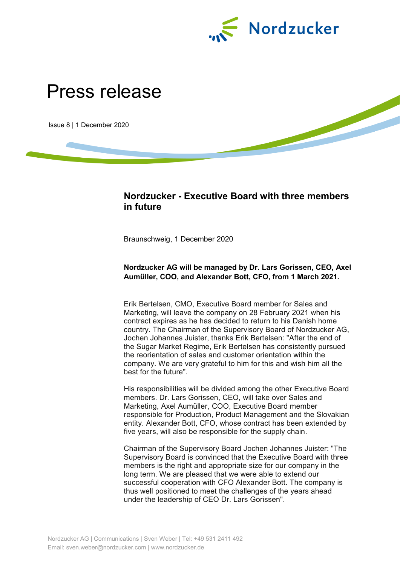

# Press release

Issue 8 | 1 December 2020

## **Nordzucker - Executive Board with three members in future**

Braunschweig, 1 December 2020

## **Nordzucker AG will be managed by Dr. Lars Gorissen, CEO, Axel Aumüller, COO, and Alexander Bott, CFO, from 1 March 2021.**

Erik Bertelsen, CMO, Executive Board member for Sales and Marketing, will leave the company on 28 February 2021 when his contract expires as he has decided to return to his Danish home country. The Chairman of the Supervisory Board of Nordzucker AG, Jochen Johannes Juister, thanks Erik Bertelsen: "After the end of the Sugar Market Regime, Erik Bertelsen has consistently pursued the reorientation of sales and customer orientation within the company. We are very grateful to him for this and wish him all the best for the future".

His responsibilities will be divided among the other Executive Board members. Dr. Lars Gorissen, CEO, will take over Sales and Marketing, Axel Aumüller, COO, Executive Board member responsible for Production, Product Management and the Slovakian entity. Alexander Bott, CFO, whose contract has been extended by five years, will also be responsible for the supply chain.

Chairman of the Supervisory Board Jochen Johannes Juister: "The Supervisory Board is convinced that the Executive Board with three members is the right and appropriate size for our company in the long term. We are pleased that we were able to extend our successful cooperation with CFO Alexander Bott. The company is thus well positioned to meet the challenges of the years ahead under the leadership of CEO Dr. Lars Gorissen".